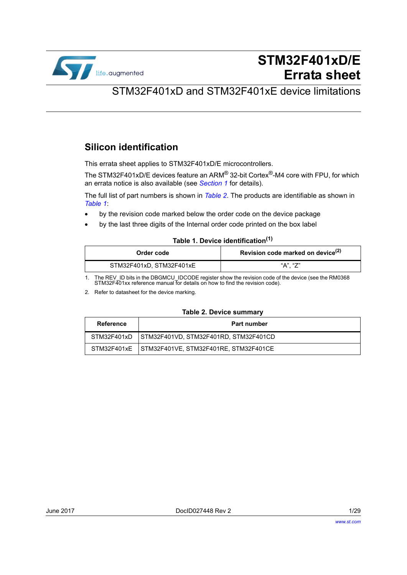

# **STM32F401xD/E Errata sheet**

# STM32F401xD and STM32F401xE device limitations

# **Silicon identification**

This errata sheet applies to STM32F401xD/E microcontrollers.

The STM32F401xD/E devices feature an ARM® 32-bit Cortex®-M4 core with FPU, for which an errata notice is also available (see *[Section 1](#page-5-0)* for details).

The full list of part numbers is shown in *[Table 2](#page-0-0)*. The products are identifiable as shown in *[Table 1](#page-0-1)*:

- by the revision code marked below the order code on the device package
- by the last three digits of the Internal order code printed on the box label

### **Table 1. Device identification(1)**

<span id="page-0-1"></span>

| Order code               | Revision code marked on device <sup>(2)</sup> |
|--------------------------|-----------------------------------------------|
| STM32F401xD, STM32F401xE | "A". "Z"                                      |

1. The REV\_ID bits in the DBGMCU\_IDCODE register show the revision code of the device (see the RM0368 STM32F401xx reference manual for details on how to find the revision code).

2. Refer to datasheet for the device marking.

#### **Table 2. Device summary**

<span id="page-0-0"></span>

| Reference | <b>Part number</b>                                  |
|-----------|-----------------------------------------------------|
|           | STM32F401xD   STM32F401VD, STM32F401RD, STM32F401CD |
|           | STM32F401xE STM32F401VE, STM32F401RE, STM32F401CE   |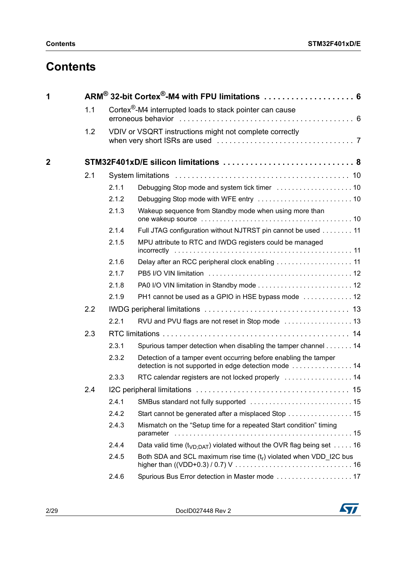# **Contents**

| 1            |     |       | ARM <sup>®</sup> 32-bit Cortex <sup>®</sup> -M4 with FPU limitations  6                                                   |
|--------------|-----|-------|---------------------------------------------------------------------------------------------------------------------------|
|              | 1.1 |       | Cortex $\mathbb{S}$ -M4 interrupted loads to stack pointer can cause                                                      |
|              | 1.2 |       | VDIV or VSQRT instructions might not complete correctly                                                                   |
|              |     |       |                                                                                                                           |
| $\mathbf{2}$ |     |       |                                                                                                                           |
|              | 2.1 |       |                                                                                                                           |
|              |     | 2.1.1 |                                                                                                                           |
|              |     | 2.1.2 |                                                                                                                           |
|              |     | 2.1.3 | Wakeup sequence from Standby mode when using more than                                                                    |
|              |     | 2.1.4 | Full JTAG configuration without NJTRST pin cannot be used 11                                                              |
|              |     | 2.1.5 | MPU attribute to RTC and IWDG registers could be managed                                                                  |
|              |     | 2.1.6 |                                                                                                                           |
|              |     | 2.1.7 |                                                                                                                           |
|              |     | 2.1.8 |                                                                                                                           |
|              |     | 2.1.9 | PH1 cannot be used as a GPIO in HSE bypass mode  12                                                                       |
|              | 2.2 |       |                                                                                                                           |
|              |     | 2.2.1 |                                                                                                                           |
|              | 2.3 |       |                                                                                                                           |
|              |     | 2.3.1 | Spurious tamper detection when disabling the tamper channel 14                                                            |
|              |     | 2.3.2 | Detection of a tamper event occurring before enabling the tamper<br>detection is not supported in edge detection mode  14 |
|              |     | 2.3.3 | RTC calendar registers are not locked properly  14                                                                        |
|              | 2.4 |       |                                                                                                                           |
|              |     | 2.4.1 |                                                                                                                           |
|              |     | 2.4.2 | Start cannot be generated after a misplaced Stop  15                                                                      |
|              |     | 2.4.3 | Mismatch on the "Setup time for a repeated Start condition" timing                                                        |
|              |     | 2.4.4 | Data valid time ( $t_{VD:DAT}$ ) violated without the OVR flag being set 16                                               |
|              |     | 2.4.5 | Both SDA and SCL maximum rise time $(t_r)$ violated when VDD_I2C bus                                                      |
|              |     | 2.4.6 | Spurious Bus Error detection in Master mode  17                                                                           |

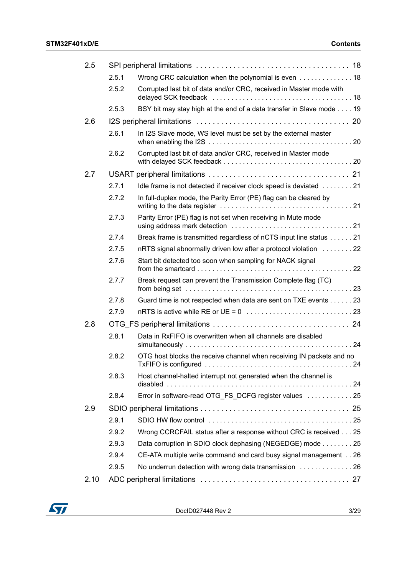| 2.5  |       |                                                                                                                                                             |  |
|------|-------|-------------------------------------------------------------------------------------------------------------------------------------------------------------|--|
|      | 2.5.1 | Wrong CRC calculation when the polynomial is even 18                                                                                                        |  |
|      | 2.5.2 | Corrupted last bit of data and/or CRC, received in Master mode with                                                                                         |  |
|      | 2.5.3 | BSY bit may stay high at the end of a data transfer in Slave mode 19                                                                                        |  |
| 2.6  |       |                                                                                                                                                             |  |
|      | 2.6.1 | In I2S Slave mode, WS level must be set by the external master<br>when enabling the I2S $\dots\dots\dots\dots\dots\dots\dots\dots\dots\dots\dots\dots\dots$ |  |
|      | 2.6.2 | Corrupted last bit of data and/or CRC, received in Master mode                                                                                              |  |
| 2.7  |       |                                                                                                                                                             |  |
|      | 2.7.1 | Idle frame is not detected if receiver clock speed is deviated  21                                                                                          |  |
|      | 2.7.2 | In full-duplex mode, the Parity Error (PE) flag can be cleared by                                                                                           |  |
|      | 2.7.3 | Parity Error (PE) flag is not set when receiving in Mute mode                                                                                               |  |
|      | 2.7.4 | Break frame is transmitted regardless of nCTS input line status 21                                                                                          |  |
|      | 2.7.5 | nRTS signal abnormally driven low after a protocol violation 22                                                                                             |  |
|      | 2.7.6 | Start bit detected too soon when sampling for NACK signal                                                                                                   |  |
|      | 2.7.7 | Break request can prevent the Transmission Complete flag (TC)                                                                                               |  |
|      | 2.7.8 | Guard time is not respected when data are sent on TXE events 23                                                                                             |  |
|      | 2.7.9 | $nRTS$ is active while RE or UE = 0 $\ldots \ldots \ldots \ldots \ldots \ldots \ldots \ldots 23$                                                            |  |
| 2.8  |       |                                                                                                                                                             |  |
|      | 2.8.1 | Data in RxFIFO is overwritten when all channels are disabled                                                                                                |  |
|      | 2.8.2 | OTG host blocks the receive channel when receiving IN packets and no<br>TxFIFO is configured                                                                |  |
|      | 2.8.3 | Host channel-halted interrupt not generated when the channel is                                                                                             |  |
|      | 2.8.4 | Error in software-read OTG_FS_DCFG register values  25                                                                                                      |  |
| 2.9  |       |                                                                                                                                                             |  |
|      | 2.9.1 |                                                                                                                                                             |  |
|      | 2.9.2 | Wrong CCRCFAIL status after a response without CRC is received 25                                                                                           |  |
|      | 2.9.3 | Data corruption in SDIO clock dephasing (NEGEDGE) mode 25                                                                                                   |  |
|      | 2.9.4 | CE-ATA multiple write command and card busy signal management 26                                                                                            |  |
|      | 2.9.5 | No underrun detection with wrong data transmission  26                                                                                                      |  |
| 2.10 |       |                                                                                                                                                             |  |

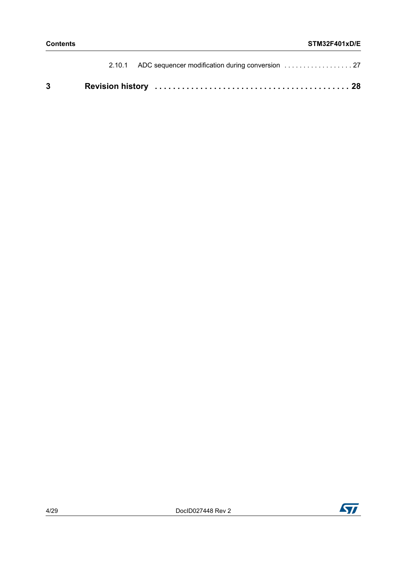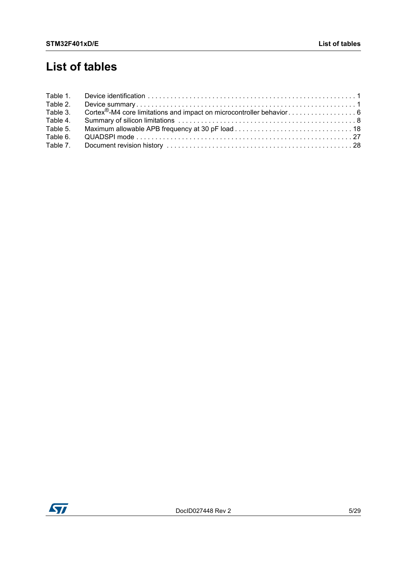# **List of tables**

| Table 1. |  |
|----------|--|
| Table 2. |  |
| Table 3. |  |
| Table 4. |  |
| Table 5. |  |
| Table 6. |  |
| Table 7. |  |

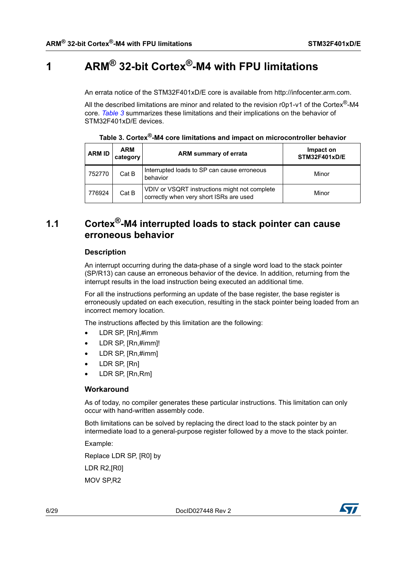# <span id="page-5-1"></span>**1 ARM® 32-bit Cortex®-M4 with FPU limitations**

<span id="page-5-0"></span>An errata notice of the STM32F401xD/E core is available from http://infocenter.arm.com.

All the described limitations are minor and related to the revision r0p1-v1 of the Cortex<sup>®</sup>-M4 core. *[Table 3](#page-5-3)* summarizes these limitations and their implications on the behavior of STM32F401xD/E devices.

<span id="page-5-3"></span>

| <b>ARM ID</b> | <b>ARM</b><br>category | ARM summary of errata                                                                    | Impact on<br><b>STM32F401xD/E</b> |
|---------------|------------------------|------------------------------------------------------------------------------------------|-----------------------------------|
| 752770        | Cat B                  | Interrupted loads to SP can cause erroneous<br>behavior                                  | Minor                             |
| 776924        | Cat B                  | VDIV or VSQRT instructions might not complete<br>correctly when very short ISRs are used | Minor                             |

**Table 3. Cortex®-M4 core limitations and impact on microcontroller behavior**

# <span id="page-5-2"></span>**1.1 Cortex®-M4 interrupted loads to stack pointer can cause erroneous behavior**

#### **Description**

An interrupt occurring during the data-phase of a single word load to the stack pointer (SP/R13) can cause an erroneous behavior of the device. In addition, returning from the interrupt results in the load instruction being executed an additional time.

For all the instructions performing an update of the base register, the base register is erroneously updated on each execution, resulting in the stack pointer being loaded from an incorrect memory location.

The instructions affected by this limitation are the following:

- LDR SP, [Rn],#imm
- LDR SP, [Rn,#imm]!
- LDR SP, [Rn,#imm]
- LDR SP, [Rn]
- LDR SP, [Rn,Rm]

#### **Workaround**

As of today, no compiler generates these particular instructions. This limitation can only occur with hand-written assembly code.

Both limitations can be solved by replacing the direct load to the stack pointer by an intermediate load to a general-purpose register followed by a move to the stack pointer.

Example:

Replace LDR SP, [R0] by LDR R2,[R0] MOV SP,R2

6/[29](#page-28-0) DocID027448 Rev 2

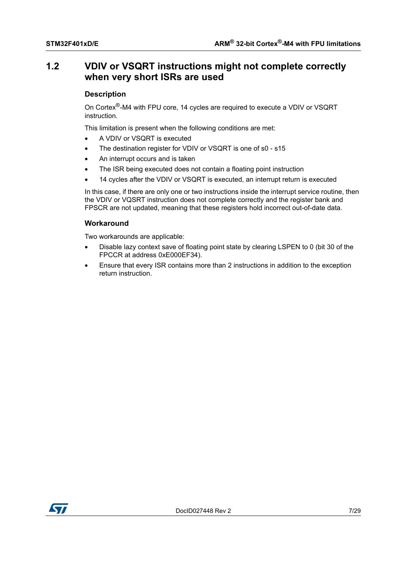# <span id="page-6-0"></span>**1.2 VDIV or VSQRT instructions might not complete correctly when very short ISRs are used**

#### **Description**

On Cortex®-M4 with FPU core, 14 cycles are required to execute a VDIV or VSQRT instruction.

This limitation is present when the following conditions are met:

- A VDIV or VSQRT is executed
- The destination register for VDIV or VSQRT is one of s0 s15
- An interrupt occurs and is taken
- The ISR being executed does not contain a floating point instruction
- 14 cycles after the VDIV or VSQRT is executed, an interrupt return is executed

In this case, if there are only one or two instructions inside the interrupt service routine, then the VDIV or VQSRT instruction does not complete correctly and the register bank and FPSCR are not updated, meaning that these registers hold incorrect out-of-date data.

#### **Workaround**

Two workarounds are applicable:

- Disable lazy context save of floating point state by clearing LSPEN to 0 (bit 30 of the FPCCR at address 0xE000EF34).
- Ensure that every ISR contains more than 2 instructions in addition to the exception return instruction.

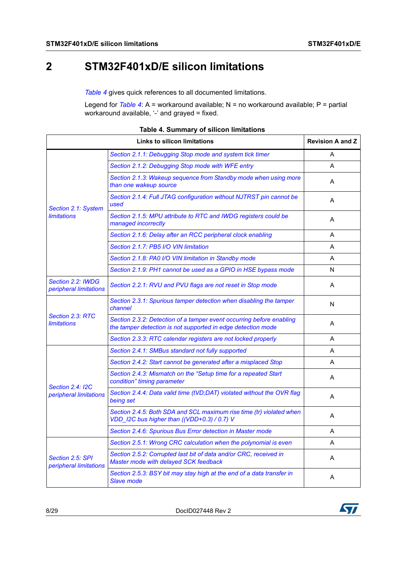# <span id="page-7-0"></span>**2 STM32F401xD/E silicon limitations**

*[Table 4](#page-7-1)* gives quick references to all documented limitations.

Legend for *[Table 4](#page-7-1)*: A = workaround available; N = no workaround available; P = partial workaround available, '-' and grayed = fixed.

<span id="page-7-1"></span>

|                                                   | <b>Revision A and Z</b>                                                                                                              |   |
|---------------------------------------------------|--------------------------------------------------------------------------------------------------------------------------------------|---|
|                                                   | Section 2.1.1: Debugging Stop mode and system tick timer                                                                             | A |
|                                                   | Section 2.1.2: Debugging Stop mode with WFE entry                                                                                    | A |
|                                                   | Section 2.1.3: Wakeup sequence from Standby mode when using more<br>than one wakeup source                                           | A |
| Section 2.1: System                               | Section 2.1.4: Full JTAG configuration without NJTRST pin cannot be<br>used                                                          | A |
| <b>limitations</b>                                | Section 2.1.5: MPU attribute to RTC and IWDG registers could be<br>managed incorrectly                                               | A |
|                                                   | Section 2.1.6: Delay after an RCC peripheral clock enabling                                                                          | A |
|                                                   | Section 2.1.7: PB5 I/O VIN limitation                                                                                                | A |
|                                                   | Section 2.1.8: PA0 I/O VIN limitation in Standby mode                                                                                | A |
|                                                   | Section 2.1.9: PH1 cannot be used as a GPIO in HSE bypass mode                                                                       | N |
| Section 2.2: IWDG<br>peripheral limitations       | Section 2.2.1: RVU and PVU flags are not reset in Stop mode                                                                          | A |
|                                                   | Section 2.3.1: Spurious tamper detection when disabling the tamper<br>channel                                                        | N |
| Section 2.3: RTC<br><b>limitations</b>            | Section 2.3.2: Detection of a tamper event occurring before enabling<br>the tamper detection is not supported in edge detection mode | A |
|                                                   | Section 2.3.3: RTC calendar registers are not locked properly                                                                        | A |
|                                                   | Section 2.4.1: SMBus standard not fully supported                                                                                    | A |
|                                                   | Section 2.4.2: Start cannot be generated after a misplaced Stop                                                                      | A |
|                                                   | Section 2.4.3: Mismatch on the "Setup time for a repeated Start<br>condition" timing parameter                                       | A |
| <b>Section 2.4: I2C</b><br>peripheral limitations | Section 2.4.4: Data valid time (tVD;DAT) violated without the OVR flag<br>being set                                                  | A |
|                                                   | Section 2.4.5: Both SDA and SCL maximum rise time (tr) violated when<br>VDD_I2C bus higher than ((VDD+0.3) / 0.7) V                  | A |
|                                                   | Section 2.4.6: Spurious Bus Error detection in Master mode                                                                           | A |
|                                                   | Section 2.5.1: Wrong CRC calculation when the polynomial is even                                                                     | A |
| Section 2.5: SPI<br>peripheral limitations        | Section 2.5.2: Corrupted last bit of data and/or CRC, received in<br>Master mode with delayed SCK feedback                           | A |
|                                                   | Section 2.5.3: BSY bit may stay high at the end of a data transfer in<br><b>Slave mode</b>                                           | A |

#### **Table 4. Summary of silicon limitations**

8/[29](#page-28-0) DocID027448 Rev 2

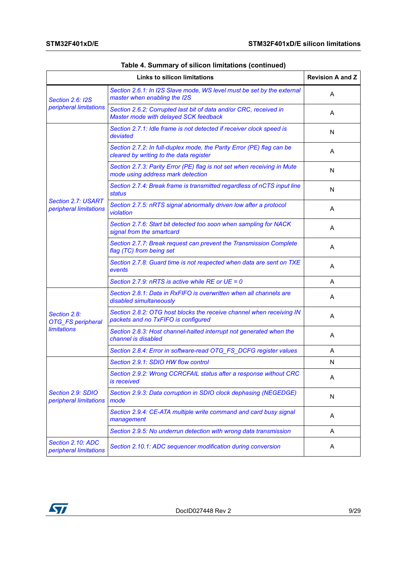|                                              | <b>Revision A and Z</b>                                                                                          |   |
|----------------------------------------------|------------------------------------------------------------------------------------------------------------------|---|
| <b>Section 2.6: I2S</b>                      | Section 2.6.1: In I2S Slave mode, WS level must be set by the external<br>master when enabling the I2S           | A |
| peripheral limitations                       | Section 2.6.2: Corrupted last bit of data and/or CRC, received in<br>Master mode with delayed SCK feedback       | A |
|                                              | Section 2.7.1: Idle frame is not detected if receiver clock speed is<br>deviated                                 | N |
|                                              | Section 2.7.2: In full-duplex mode, the Parity Error (PE) flag can be<br>cleared by writing to the data register | Α |
|                                              | Section 2.7.3: Parity Error (PE) flag is not set when receiving in Mute<br>mode using address mark detection     | N |
|                                              | Section 2.7.4: Break frame is transmitted regardless of nCTS input line<br>status                                | N |
| Section 2.7: USART<br>peripheral limitations | Section 2.7.5: nRTS signal abnormally driven low after a protocol<br>violation                                   | A |
|                                              | Section 2.7.6: Start bit detected too soon when sampling for NACK<br>signal from the smartcard                   | A |
|                                              | Section 2.7.7: Break request can prevent the Transmission Complete<br>flag (TC) from being set                   | A |
|                                              | Section 2.7.8: Guard time is not respected when data are sent on TXE<br>events                                   | Α |
|                                              | Section 2.7.9: nRTS is active while RE or $UE = 0$                                                               | A |
|                                              | Section 2.8.1: Data in RxFIFO is overwritten when all channels are<br>disabled simultaneously                    | A |
| Section 2.8:<br><b>OTG_FS</b> peripheral     | Section 2.8.2: OTG host blocks the receive channel when receiving IN<br>packets and no TxFIFO is configured      | A |
| limitations                                  | Section 2.8.3: Host channel-halted interrupt not generated when the<br>channel is disabled                       | A |
|                                              | Section 2.8.4: Error in software-read OTG_FS_DCFG register values                                                | A |
|                                              | Section 2.9.1: SDIO HW flow control                                                                              | N |
| Section 2.9: SDIO<br>peripheral limitations  | Section 2.9.2: Wrong CCRCFAIL status after a response without CRC<br>is received                                 | A |
|                                              | Section 2.9.3: Data corruption in SDIO clock dephasing (NEGEDGE)<br>mode                                         | N |
|                                              | Section 2.9.4: CE-ATA multiple write command and card busy signal<br>management                                  | Α |
|                                              | Section 2.9.5: No underrun detection with wrong data transmission                                                | Α |
| Section 2.10: ADC<br>peripheral limitations  | Section 2.10.1: ADC sequencer modification during conversion                                                     | A |

|  | Table 4. Summary of silicon limitations (continued) |  |
|--|-----------------------------------------------------|--|
|--|-----------------------------------------------------|--|

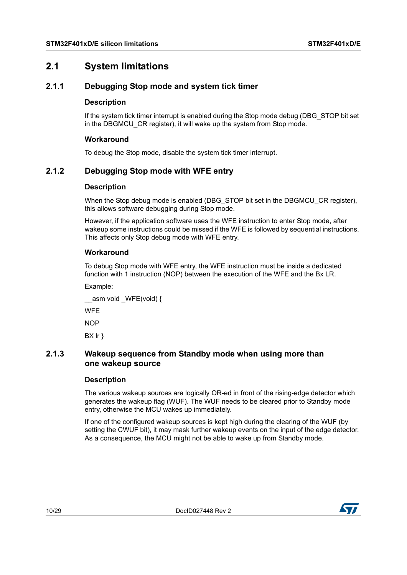# <span id="page-9-0"></span>**2.1 System limitations**

# <span id="page-9-1"></span>**2.1.1 Debugging Stop mode and system tick timer**

#### **Description**

If the system tick timer interrupt is enabled during the Stop mode debug (DBG\_STOP bit set in the DBGMCU CR register), it will wake up the system from Stop mode.

#### **Workaround**

To debug the Stop mode, disable the system tick timer interrupt.

# <span id="page-9-2"></span>**2.1.2 Debugging Stop mode with WFE entry**

#### **Description**

When the Stop debug mode is enabled (DBG STOP bit set in the DBGMCU CR register), this allows software debugging during Stop mode.

However, if the application software uses the WFE instruction to enter Stop mode, after wakeup some instructions could be missed if the WFE is followed by sequential instructions. This affects only Stop debug mode with WFE entry.

#### **Workaround**

To debug Stop mode with WFE entry, the WFE instruction must be inside a dedicated function with 1 instruction (NOP) between the execution of the WFE and the Bx LR.

Example:

\_asm void WFE(void) {

**WFF** 

**NOP** 

BX lr }

## <span id="page-9-3"></span>**2.1.3 Wakeup sequence from Standby mode when using more than one wakeup source**

#### **Description**

The various wakeup sources are logically OR-ed in front of the rising-edge detector which generates the wakeup flag (WUF). The WUF needs to be cleared prior to Standby mode entry, otherwise the MCU wakes up immediately.

If one of the configured wakeup sources is kept high during the clearing of the WUF (by setting the CWUF bit), it may mask further wakeup events on the input of the edge detector. As a consequence, the MCU might not be able to wake up from Standby mode.

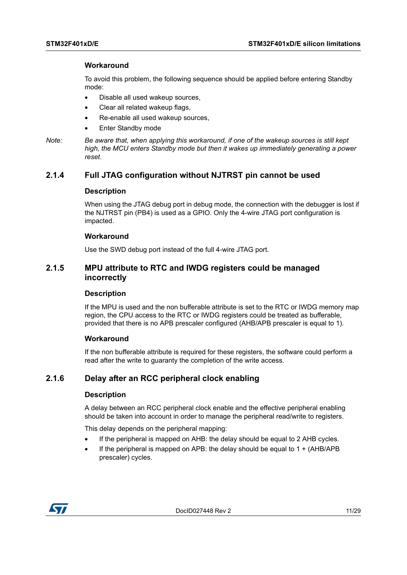#### **Workaround**

To avoid this problem, the following sequence should be applied before entering Standby mode:

- Disable all used wakeup sources,
- Clear all related wakeup flags,
- Re-enable all used wakeup sources,
- **Enter Standby mode**
- *Note: Be aware that, when applying this workaround, if one of the wakeup sources is still kept high, the MCU enters Standby mode but then it wakes up immediately generating a power reset.*

## <span id="page-10-0"></span>**2.1.4 Full JTAG configuration without NJTRST pin cannot be used**

#### **Description**

When using the JTAG debug port in debug mode, the connection with the debugger is lost if the NJTRST pin (PB4) is used as a GPIO. Only the 4-wire JTAG port configuration is impacted.

#### **Workaround**

Use the SWD debug port instead of the full 4-wire JTAG port.

### <span id="page-10-1"></span>**2.1.5 MPU attribute to RTC and IWDG registers could be managed incorrectly**

#### **Description**

If the MPU is used and the non bufferable attribute is set to the RTC or IWDG memory map region, the CPU access to the RTC or IWDG registers could be treated as bufferable, provided that there is no APB prescaler configured (AHB/APB prescaler is equal to 1).

#### **Workaround**

If the non bufferable attribute is required for these registers, the software could perform a read after the write to guaranty the completion of the write access.

# <span id="page-10-2"></span>**2.1.6 Delay after an RCC peripheral clock enabling**

#### **Description**

A delay between an RCC peripheral clock enable and the effective peripheral enabling should be taken into account in order to manage the peripheral read/write to registers.

This delay depends on the peripheral mapping:

- If the peripheral is mapped on AHB: the delay should be equal to 2 AHB cycles.
- If the peripheral is mapped on APB: the delay should be equal to  $1 + (AHB/APB)$ prescaler) cycles.

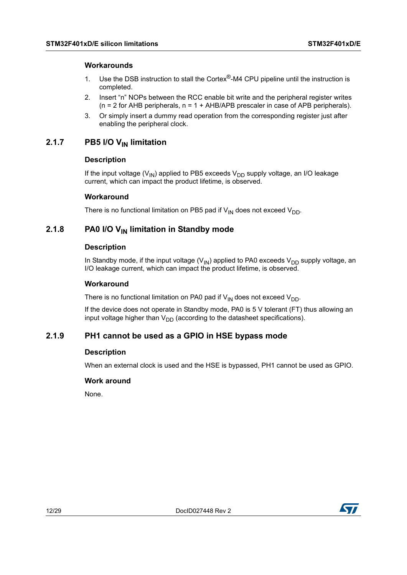#### **Workarounds**

- 1. Use the DSB instruction to stall the Cortex<sup>®</sup>-M4 CPU pipeline until the instruction is completed.
- 2. Insert "n" NOPs between the RCC enable bit write and the peripheral register writes  $(n = 2$  for AHB peripherals,  $n = 1 + AHB/APB$  prescaler in case of APB peripherals).
- 3. Or simply insert a dummy read operation from the corresponding register just after enabling the peripheral clock.

# <span id="page-11-0"></span>2.1.7 PB5 I/O V<sub>IN</sub> limitation

#### **Description**

If the input voltage ( $V_{IN}$ ) applied to PB5 exceeds  $V_{DD}$  supply voltage, an I/O leakage current, which can impact the product lifetime, is observed.

#### **Workaround**

There is no functional limitation on PB5 pad if  $V_{IN}$  does not exceed  $V_{DD}$ .

# <span id="page-11-1"></span>**2.1.8** PA0 I/O V<sub>IN</sub> limitation in Standby mode

#### **Description**

In Standby mode, if the input voltage ( $V_{\text{IN}}$ ) applied to PA0 exceeds  $V_{\text{DD}}$  supply voltage, an I/O leakage current, which can impact the product lifetime, is observed.

#### **Workaround**

There is no functional limitation on PA0 pad if  $V_{IN}$  does not exceed  $V_{DD}$ .

If the device does not operate in Standby mode, PA0 is 5 V tolerant (FT) thus allowing an input voltage higher than  $V_{DD}$  (according to the datasheet specifications).

## <span id="page-11-2"></span>**2.1.9 PH1 cannot be used as a GPIO in HSE bypass mode**

#### **Description**

When an external clock is used and the HSE is bypassed, PH1 cannot be used as GPIO.

#### **Work around**

None.

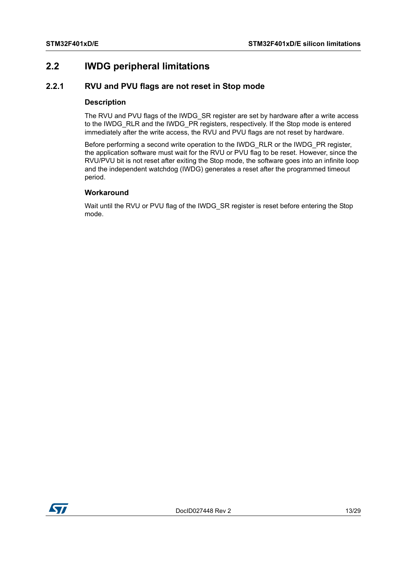# <span id="page-12-0"></span>**2.2 IWDG peripheral limitations**

# <span id="page-12-1"></span>**2.2.1 RVU and PVU flags are not reset in Stop mode**

#### **Description**

The RVU and PVU flags of the IWDG\_SR register are set by hardware after a write access to the IWDG\_RLR and the IWDG\_PR registers, respectively. If the Stop mode is entered immediately after the write access, the RVU and PVU flags are not reset by hardware.

Before performing a second write operation to the IWDG\_RLR or the IWDG\_PR register, the application software must wait for the RVU or PVU flag to be reset. However, since the RVU/PVU bit is not reset after exiting the Stop mode, the software goes into an infinite loop and the independent watchdog (IWDG) generates a reset after the programmed timeout period.

## **Workaround**

Wait until the RVU or PVU flag of the IWDG\_SR register is reset before entering the Stop mode.

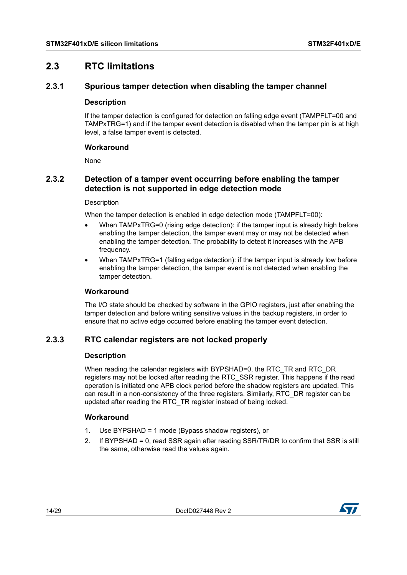# <span id="page-13-0"></span>**2.3 RTC limitations**

# <span id="page-13-1"></span>**2.3.1 Spurious tamper detection when disabling the tamper channel**

#### **Description**

If the tamper detection is configured for detection on falling edge event (TAMPFLT=00 and TAMPxTRG=1) and if the tamper event detection is disabled when the tamper pin is at high level, a false tamper event is detected.

#### **Workaround**

None

# <span id="page-13-2"></span>**2.3.2 Detection of a tamper event occurring before enabling the tamper detection is not supported in edge detection mode**

#### **Description**

When the tamper detection is enabled in edge detection mode (TAMPFLT=00):

- When TAMPxTRG=0 (rising edge detection): if the tamper input is already high before enabling the tamper detection, the tamper event may or may not be detected when enabling the tamper detection. The probability to detect it increases with the APB frequency.
- When TAMPxTRG=1 (falling edge detection): if the tamper input is already low before enabling the tamper detection, the tamper event is not detected when enabling the tamper detection.

## **Workaround**

The I/O state should be checked by software in the GPIO registers, just after enabling the tamper detection and before writing sensitive values in the backup registers, in order to ensure that no active edge occurred before enabling the tamper event detection.

# <span id="page-13-3"></span>**2.3.3 RTC calendar registers are not locked properly**

#### **Description**

When reading the calendar registers with BYPSHAD=0, the RTC\_TR and RTC\_DR registers may not be locked after reading the RTC\_SSR register. This happens if the read operation is initiated one APB clock period before the shadow registers are updated. This can result in a non-consistency of the three registers. Similarly, RTC\_DR register can be updated after reading the RTC\_TR register instead of being locked.

## **Workaround**

- 1. Use BYPSHAD = 1 mode (Bypass shadow registers), or
- 2. If BYPSHAD = 0, read SSR again after reading SSR/TR/DR to confirm that SSR is still the same, otherwise read the values again.

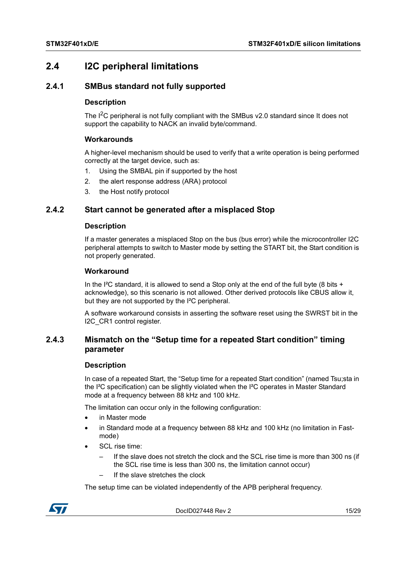# <span id="page-14-0"></span>**2.4 I2C peripheral limitations**

# <span id="page-14-1"></span>**2.4.1 SMBus standard not fully supported**

#### **Description**

The  $I^2C$  peripheral is not fully compliant with the SMBus v2.0 standard since It does not support the capability to NACK an invalid byte/command.

#### **Workarounds**

A higher-level mechanism should be used to verify that a write operation is being performed correctly at the target device, such as:

- 1. Using the SMBAL pin if supported by the host
- 2. the alert response address (ARA) protocol
- 3. the Host notify protocol

# <span id="page-14-2"></span>**2.4.2 Start cannot be generated after a misplaced Stop**

#### **Description**

If a master generates a misplaced Stop on the bus (bus error) while the microcontroller I2C peripheral attempts to switch to Master mode by setting the START bit, the Start condition is not properly generated.

#### **Workaround**

In the I<sup>2</sup>C standard, it is allowed to send a Stop only at the end of the full byte (8 bits  $+$ acknowledge), so this scenario is not allowed. Other derived protocols like CBUS allow it, but they are not supported by the I²C peripheral.

A software workaround consists in asserting the software reset using the SWRST bit in the I2C\_CR1 control register.

# <span id="page-14-3"></span>**2.4.3 Mismatch on the "Setup time for a repeated Start condition" timing parameter**

#### **Description**

In case of a repeated Start, the "Setup time for a repeated Start condition" (named Tsu;sta in the I²C specification) can be slightly violated when the I²C operates in Master Standard mode at a frequency between 88 kHz and 100 kHz.

The limitation can occur only in the following configuration:

- in Master mode
- in Standard mode at a frequency between 88 kHz and 100 kHz (no limitation in Fastmode)
- SCL rise time:
	- If the slave does not stretch the clock and the SCL rise time is more than 300 ns (if the SCL rise time is less than 300 ns, the limitation cannot occur)
	- If the slave stretches the clock

The setup time can be violated independently of the APB peripheral frequency.



DocID027448 Rev 2 15/[29](#page-28-0)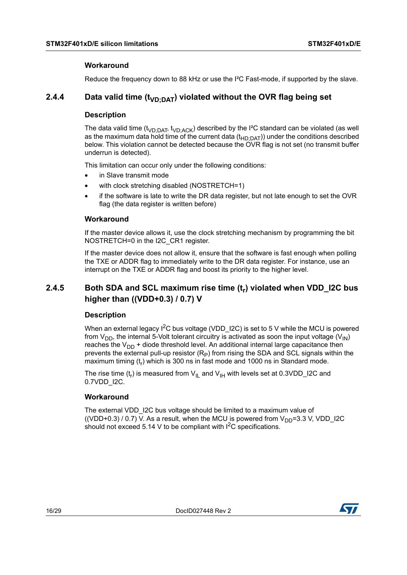#### **Workaround**

Reduce the frequency down to 88 kHz or use the I<sup>2</sup>C Fast-mode, if supported by the slave.

# <span id="page-15-0"></span>**2.4.4** Data valid time (t<sub>VD</sub>, DAT) violated without the OVR flag being set

#### **Description**

The data valid time ( $t_{VD;DATA}$ ,  $t_{VD;ACK}$ ) described by the I<sup>2</sup>C standard can be violated (as well as the maximum data hold time of the current data  $(t_{HD:DAT})$ ) under the conditions described below. This violation cannot be detected because the OVR flag is not set (no transmit buffer underrun is detected).

This limitation can occur only under the following conditions:

- in Slave transmit mode
- with clock stretching disabled (NOSTRETCH=1)
- if the software is late to write the DR data register, but not late enough to set the OVR flag (the data register is written before)

#### **Workaround**

If the master device allows it, use the clock stretching mechanism by programming the bit NOSTRETCH=0 in the I2C\_CR1 register.

If the master device does not allow it, ensure that the software is fast enough when polling the TXE or ADDR flag to immediately write to the DR data register. For instance, use an interrupt on the TXE or ADDR flag and boost its priority to the higher level.

# <span id="page-15-1"></span>**2.4.5 Both SDA and SCL maximum rise time (tr) violated when VDD\_I2C bus higher than ((VDD+0.3) / 0.7) V**

#### **Description**

When an external legacy  $1^2C$  bus voltage (VDD 12C) is set to 5 V while the MCU is powered from  $V_{DD}$ , the internal 5-Volt tolerant circuitry is activated as soon the input voltage (V<sub>IN</sub>) reaches the  $V_{DD}$  + diode threshold level. An additional internal large capacitance then prevents the external pull-up resistor  $(R_P)$  from rising the SDA and SCL signals within the maximum timing  $(t_r)$  which is 300 ns in fast mode and 1000 ns in Standard mode.

The rise time  $(t_r)$  is measured from  $V_{II}$  and  $V_{IH}$  with levels set at 0.3VDD\_I2C and 0.7VDD\_I2C.

#### **Workaround**

The external VDD 12C bus voltage should be limited to a maximum value of ((VDD+0.3) / 0.7) V. As a result, when the MCU is powered from  $V_{DD}=3.3$  V, VDD I2C should not exceed 5.14 V to be compliant with  $1^2C$  specifications.

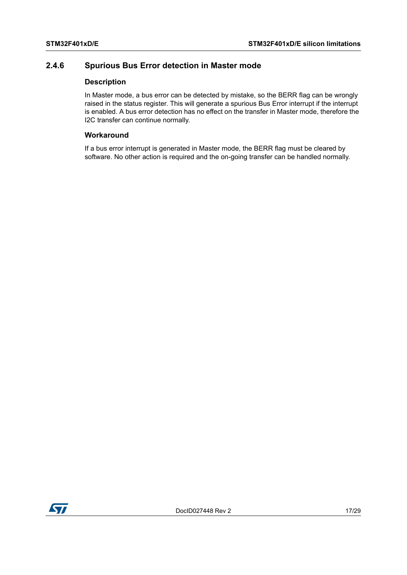# <span id="page-16-0"></span>**2.4.6 Spurious Bus Error detection in Master mode**

#### **Description**

In Master mode, a bus error can be detected by mistake, so the BERR flag can be wrongly raised in the status register. This will generate a spurious Bus Error interrupt if the interrupt is enabled. A bus error detection has no effect on the transfer in Master mode, therefore the I2C transfer can continue normally.

### **Workaround**

If a bus error interrupt is generated in Master mode, the BERR flag must be cleared by software. No other action is required and the on-going transfer can be handled normally.

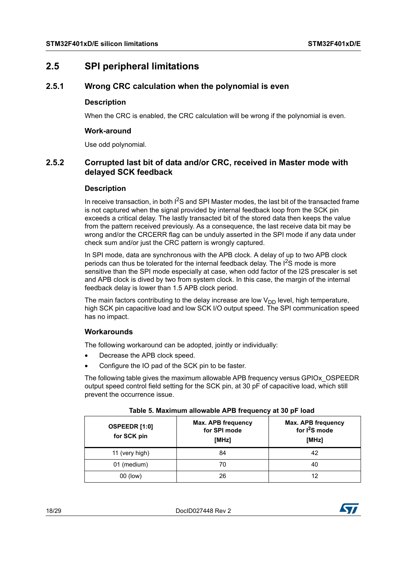# <span id="page-17-0"></span>**2.5 SPI peripheral limitations**

# <span id="page-17-1"></span>**2.5.1 Wrong CRC calculation when the polynomial is even**

#### **Description**

When the CRC is enabled, the CRC calculation will be wrong if the polynomial is even.

#### **Work-around**

Use odd polynomial.

# <span id="page-17-2"></span>**2.5.2 Corrupted last bit of data and/or CRC, received in Master mode with delayed SCK feedback**

#### **Description**

In receive transaction, in both  $1<sup>2</sup>S$  and SPI Master modes, the last bit of the transacted frame is not captured when the signal provided by internal feedback loop from the SCK pin exceeds a critical delay. The lastly transacted bit of the stored data then keeps the value from the pattern received previously. As a consequence, the last receive data bit may be wrong and/or the CRCERR flag can be unduly asserted in the SPI mode if any data under check sum and/or just the CRC pattern is wrongly captured.

In SPI mode, data are synchronous with the APB clock. A delay of up to two APB clock periods can thus be tolerated for the internal feedback delay. The  $I^2S$  mode is more sensitive than the SPI mode especially at case, when odd factor of the I2S prescaler is set and APB clock is dived by two from system clock. In this case, the margin of the internal feedback delay is lower than 1.5 APB clock period.

The main factors contributing to the delay increase are low  $V_{DD}$  level, high temperature, high SCK pin capacitive load and low SCK I/O output speed. The SPI communication speed has no impact.

## **Workarounds**

The following workaround can be adopted, jointly or individually:

- Decrease the APB clock speed.
- Configure the IO pad of the SCK pin to be faster.

The following table gives the maximum allowable APB frequency versus GPIOx\_OSPEEDR output speed control field setting for the SCK pin, at 30 pF of capacitive load, which still prevent the occurrence issue.

<span id="page-17-3"></span>

| OSPEEDR [1:0]<br>for SCK pin | Max. APB frequency<br>for SPI mode<br>[MHz] | Max. APB frequency<br>for $I^2S$ mode<br>[MHz] |
|------------------------------|---------------------------------------------|------------------------------------------------|
| 11 (very high)               | 84                                          | 42                                             |
| 01 (medium)                  | 70                                          | 40                                             |
| 00 (low)                     | 26                                          | 12                                             |

#### **Table 5. Maximum allowable APB frequency at 30 pF load**



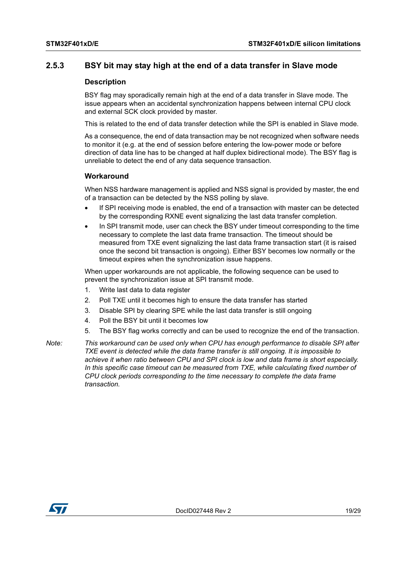### <span id="page-18-0"></span>**2.5.3 BSY bit may stay high at the end of a data transfer in Slave mode**

#### **Description**

BSY flag may sporadically remain high at the end of a data transfer in Slave mode. The issue appears when an accidental synchronization happens between internal CPU clock and external SCK clock provided by master.

This is related to the end of data transfer detection while the SPI is enabled in Slave mode.

As a consequence, the end of data transaction may be not recognized when software needs to monitor it (e.g. at the end of session before entering the low-power mode or before direction of data line has to be changed at half duplex bidirectional mode). The BSY flag is unreliable to detect the end of any data sequence transaction.

#### **Workaround**

When NSS hardware management is applied and NSS signal is provided by master, the end of a transaction can be detected by the NSS polling by slave.

- If SPI receiving mode is enabled, the end of a transaction with master can be detected by the corresponding RXNE event signalizing the last data transfer completion.
- In SPI transmit mode, user can check the BSY under timeout corresponding to the time necessary to complete the last data frame transaction. The timeout should be measured from TXE event signalizing the last data frame transaction start (it is raised once the second bit transaction is ongoing). Either BSY becomes low normally or the timeout expires when the synchronization issue happens.

When upper workarounds are not applicable, the following sequence can be used to prevent the synchronization issue at SPI transmit mode.

- 1. Write last data to data register
- 2. Poll TXE until it becomes high to ensure the data transfer has started
- 3. Disable SPI by clearing SPE while the last data transfer is still ongoing
- 4. Poll the BSY bit until it becomes low
- 5. The BSY flag works correctly and can be used to recognize the end of the transaction.

*Note: This workaround can be used only when CPU has enough performance to disable SPI after TXE event is detected while the data frame transfer is still ongoing. It is impossible to achieve it when ratio between CPU and SPI clock is low and data frame is short especially. In this specific case timeout can be measured from TXE, while calculating fixed number of CPU clock periods corresponding to the time necessary to complete the data frame transaction.*

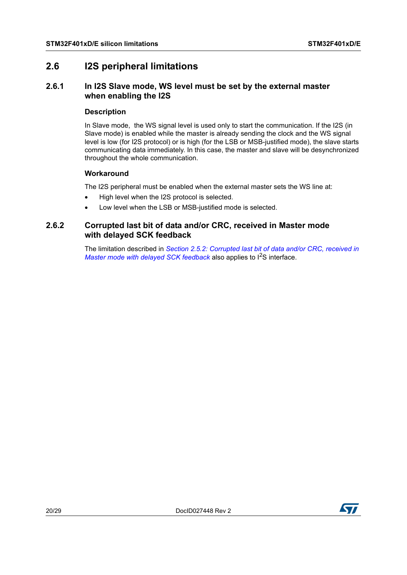# <span id="page-19-0"></span>**2.6 I2S peripheral limitations**

# <span id="page-19-1"></span>**2.6.1 In I2S Slave mode, WS level must be set by the external master when enabling the I2S**

### **Description**

In Slave mode, the WS signal level is used only to start the communication. If the I2S (in Slave mode) is enabled while the master is already sending the clock and the WS signal level is low (for I2S protocol) or is high (for the LSB or MSB-justified mode), the slave starts communicating data immediately. In this case, the master and slave will be desynchronized throughout the whole communication.

## **Workaround**

The I2S peripheral must be enabled when the external master sets the WS line at:

- High level when the I2S protocol is selected.
- Low level when the LSB or MSB-justified mode is selected.

# <span id="page-19-2"></span>**2.6.2 Corrupted last bit of data and/or CRC, received in Master mode with delayed SCK feedback**

The limitation described in *[Section 2.5.2: Corrupted last bit of data and/or CRC, received in](#page-17-2)  [Master mode with delayed SCK feedback](#page-17-2)* also applies to  $1^2$ S interface.

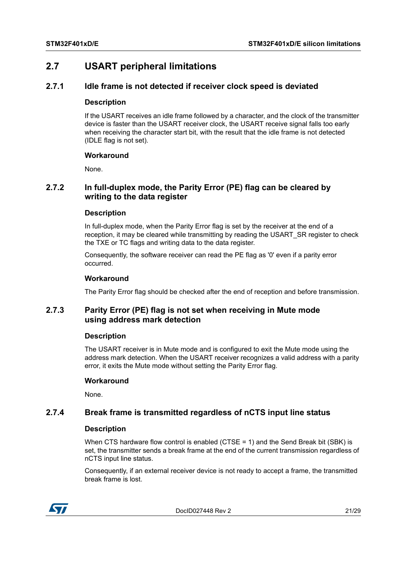# <span id="page-20-0"></span>**2.7 USART peripheral limitations**

# <span id="page-20-1"></span>**2.7.1 Idle frame is not detected if receiver clock speed is deviated**

#### **Description**

If the USART receives an idle frame followed by a character, and the clock of the transmitter device is faster than the USART receiver clock, the USART receive signal falls too early when receiving the character start bit, with the result that the idle frame is not detected (IDLE flag is not set).

#### **Workaround**

None.

# <span id="page-20-2"></span>**2.7.2 In full-duplex mode, the Parity Error (PE) flag can be cleared by writing to the data register**

#### **Description**

In full-duplex mode, when the Parity Error flag is set by the receiver at the end of a reception, it may be cleared while transmitting by reading the USART\_SR register to check the TXE or TC flags and writing data to the data register.

Consequently, the software receiver can read the PE flag as '0' even if a parity error occurred.

#### **Workaround**

The Parity Error flag should be checked after the end of reception and before transmission.

# <span id="page-20-3"></span>**2.7.3 Parity Error (PE) flag is not set when receiving in Mute mode using address mark detection**

#### **Description**

The USART receiver is in Mute mode and is configured to exit the Mute mode using the address mark detection. When the USART receiver recognizes a valid address with a parity error, it exits the Mute mode without setting the Parity Error flag.

#### **Workaround**

None.

# <span id="page-20-4"></span>**2.7.4 Break frame is transmitted regardless of nCTS input line status**

#### **Description**

When CTS hardware flow control is enabled (CTSE = 1) and the Send Break bit (SBK) is set, the transmitter sends a break frame at the end of the current transmission regardless of nCTS input line status.

Consequently, if an external receiver device is not ready to accept a frame, the transmitted break frame is lost.



DocID027448 Rev 2 21/[29](#page-28-0)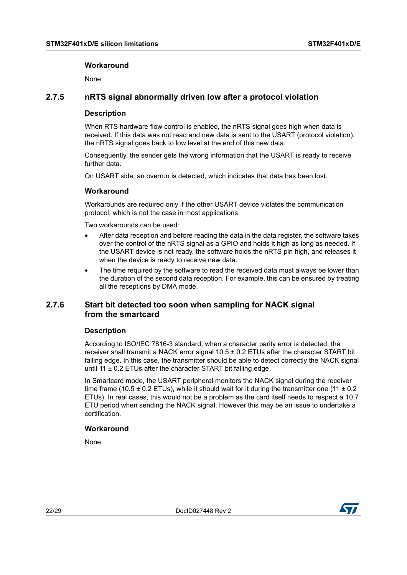#### **Workaround**

None.

## <span id="page-21-0"></span>**2.7.5 nRTS signal abnormally driven low after a protocol violation**

#### **Description**

When RTS hardware flow control is enabled, the nRTS signal goes high when data is received. If this data was not read and new data is sent to the USART (protocol violation), the nRTS signal goes back to low level at the end of this new data.

Consequently, the sender gets the wrong information that the USART is ready to receive further data.

On USART side, an overrun is detected, which indicates that data has been lost.

#### **Workaround**

Workarounds are required only if the other USART device violates the communication protocol, which is not the case in most applications.

Two workarounds can be used:

- After data reception and before reading the data in the data register, the software takes over the control of the nRTS signal as a GPIO and holds it high as long as needed. If the USART device is not ready, the software holds the nRTS pin high, and releases it when the device is ready to receive new data.
- The time required by the software to read the received data must always be lower than the duration of the second data reception. For example, this can be ensured by treating all the receptions by DMA mode.

## <span id="page-21-1"></span>**2.7.6 Start bit detected too soon when sampling for NACK signal from the smartcard**

## **Description**

According to ISO/IEC 7816-3 standard, when a character parity error is detected, the receiver shall transmit a NACK error signal  $10.5 \pm 0.2$  ETUs after the character START bit falling edge. In this case, the transmitter should be able to detect correctly the NACK signal until 11  $\pm$  0.2 ETUs after the character START bit falling edge.

In Smartcard mode, the USART peripheral monitors the NACK signal during the receiver time frame (10.5  $\pm$  0.2 ETUs), while it should wait for it during the transmitter one (11  $\pm$  0.2 ETUs). In real cases, this would not be a problem as the card itself needs to respect a 10.7 ETU period when sending the NACK signal. However this may be an issue to undertake a certification.

#### **Workaround**

None

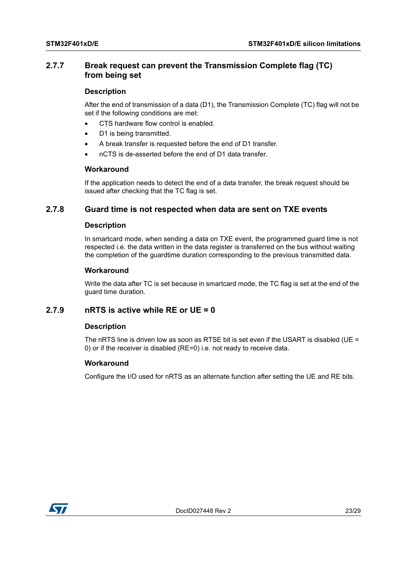# <span id="page-22-0"></span>**2.7.7 Break request can prevent the Transmission Complete flag (TC) from being set**

#### **Description**

After the end of transmission of a data (D1), the Transmission Complete (TC) flag will not be set if the following conditions are met:

- CTS hardware flow control is enabled.
- D1 is being transmitted.
- A break transfer is requested before the end of D1 transfer.
- nCTS is de-asserted before the end of D1 data transfer.

#### **Workaround**

If the application needs to detect the end of a data transfer, the break request should be issued after checking that the TC flag is set.

#### <span id="page-22-1"></span>**2.7.8 Guard time is not respected when data are sent on TXE events**

#### **Description**

In smartcard mode, when sending a data on TXE event, the programmed guard time is not respected i.e. the data written in the data register is transferred on the bus without waiting the completion of the guardtime duration corresponding to the previous transmitted data.

#### **Workaround**

Write the data after TC is set because in smartcard mode, the TC flag is set at the end of the guard time duration.

# <span id="page-22-2"></span>**2.7.9 nRTS is active while RE or UE = 0**

#### **Description**

The nRTS line is driven low as soon as RTSE bit is set even if the USART is disabled (UE = 0) or if the receiver is disabled (RE=0) i.e. not ready to receive data.

#### **Workaround**

Configure the I/O used for nRTS as an alternate function after setting the UE and RE bits.

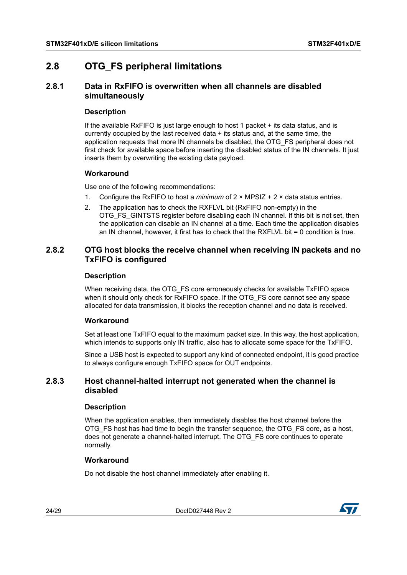# <span id="page-23-0"></span>**2.8 OTG\_FS peripheral limitations**

# <span id="page-23-1"></span>**2.8.1 Data in RxFIFO is overwritten when all channels are disabled simultaneously**

#### **Description**

If the available RxFIFO is just large enough to host 1 packet + its data status, and is currently occupied by the last received data + its status and, at the same time, the application requests that more IN channels be disabled, the OTG\_FS peripheral does not first check for available space before inserting the disabled status of the IN channels. It just inserts them by overwriting the existing data payload.

#### **Workaround**

Use one of the following recommendations:

- 1. Configure the RxFIFO to host a *minimum* of 2 × MPSIZ + 2 × data status entries.
- 2. The application has to check the RXFLVL bit (RxFIFO non-empty) in the OTG\_FS\_GINTSTS register before disabling each IN channel. If this bit is not set, then the application can disable an IN channel at a time. Each time the application disables an IN channel, however, it first has to check that the RXFLVL bit = 0 condition is true.

# <span id="page-23-2"></span>**2.8.2 OTG host blocks the receive channel when receiving IN packets and no TxFIFO is configured**

#### **Description**

When receiving data, the OTG\_FS core erroneously checks for available TxFIFO space when it should only check for RxFIFO space. If the OTG\_FS core cannot see any space allocated for data transmission, it blocks the reception channel and no data is received.

## **Workaround**

Set at least one TxFIFO equal to the maximum packet size. In this way, the host application, which intends to supports only IN traffic, also has to allocate some space for the TxFIFO.

Since a USB host is expected to support any kind of connected endpoint, it is good practice to always configure enough TxFIFO space for OUT endpoints.

# <span id="page-23-3"></span>**2.8.3 Host channel-halted interrupt not generated when the channel is disabled**

#### **Description**

When the application enables, then immediately disables the host channel before the OTG\_FS host has had time to begin the transfer sequence, the OTG\_FS core, as a host, does not generate a channel-halted interrupt. The OTG\_FS core continues to operate normally.

## **Workaround**

Do not disable the host channel immediately after enabling it.

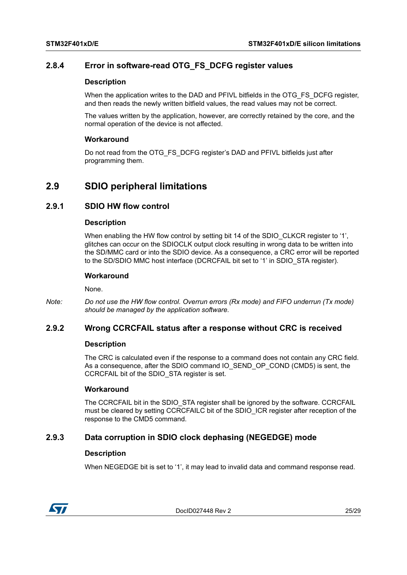# <span id="page-24-0"></span>**2.8.4 Error in software-read OTG\_FS\_DCFG register values**

#### **Description**

When the application writes to the DAD and PFIVL bitfields in the OTG\_FS\_DCFG register, and then reads the newly written bitfield values, the read values may not be correct.

The values written by the application, however, are correctly retained by the core, and the normal operation of the device is not affected.

#### **Workaround**

Do not read from the OTG\_FS\_DCFG register's DAD and PFIVL bitfields just after programming them.

# <span id="page-24-1"></span>**2.9 SDIO peripheral limitations**

# <span id="page-24-2"></span>**2.9.1 SDIO HW flow control**

#### **Description**

When enabling the HW flow control by setting bit 14 of the SDIO\_CLKCR register to '1', glitches can occur on the SDIOCLK output clock resulting in wrong data to be written into the SD/MMC card or into the SDIO device. As a consequence, a CRC error will be reported to the SD/SDIO MMC host interface (DCRCFAIL bit set to '1' in SDIO\_STA register).

#### **Workaround**

None.

*Note: Do not use the HW flow control. Overrun errors (Rx mode) and FIFO underrun (Tx mode) should be managed by the application software.*

## <span id="page-24-3"></span>**2.9.2 Wrong CCRCFAIL status after a response without CRC is received**

#### **Description**

The CRC is calculated even if the response to a command does not contain any CRC field. As a consequence, after the SDIO command IO\_SEND\_OP\_COND (CMD5) is sent, the CCRCFAIL bit of the SDIO\_STA register is set.

#### **Workaround**

The CCRCFAIL bit in the SDIO STA register shall be ignored by the software. CCRCFAIL must be cleared by setting CCRCFAILC bit of the SDIO\_ICR register after reception of the response to the CMD5 command.

## <span id="page-24-4"></span>**2.9.3 Data corruption in SDIO clock dephasing (NEGEDGE) mode**

#### **Description**

When NEGEDGE bit is set to '1', it may lead to invalid data and command response read.



DocID027448 Rev 2 25/[29](#page-28-0)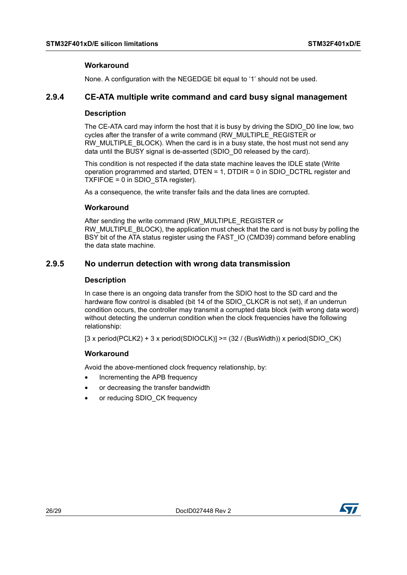#### **Workaround**

None. A configuration with the NEGEDGE bit equal to '1' should not be used.

### <span id="page-25-0"></span>**2.9.4 CE-ATA multiple write command and card busy signal management**

#### **Description**

The CE-ATA card may inform the host that it is busy by driving the SDIO\_D0 line low, two cycles after the transfer of a write command (RW\_MULTIPLE\_REGISTER or RW\_MULTIPLE\_BLOCK). When the card is in a busy state, the host must not send any data until the BUSY signal is de-asserted (SDIO\_D0 released by the card).

This condition is not respected if the data state machine leaves the IDLE state (Write operation programmed and started, DTEN = 1, DTDIR = 0 in SDIO\_DCTRL register and TXFIFOE = 0 in SDIO\_STA register).

As a consequence, the write transfer fails and the data lines are corrupted.

#### **Workaround**

After sending the write command (RW\_MULTIPLE\_REGISTER or RW\_MULTIPLE\_BLOCK), the application must check that the card is not busy by polling the BSY bit of the ATA status register using the FAST IO (CMD39) command before enabling the data state machine.

## <span id="page-25-1"></span>**2.9.5 No underrun detection with wrong data transmission**

#### **Description**

In case there is an ongoing data transfer from the SDIO host to the SD card and the hardware flow control is disabled (bit 14 of the SDIO\_CLKCR is not set), if an underrun condition occurs, the controller may transmit a corrupted data block (with wrong data word) without detecting the underrun condition when the clock frequencies have the following relationship:

[3 x period(PCLK2) + 3 x period(SDIOCLK)] >= (32 / (BusWidth)) x period(SDIO\_CK)

#### **Workaround**

Avoid the above-mentioned clock frequency relationship, by:

- Incrementing the APB frequency
- or decreasing the transfer bandwidth
- or reducing SDIO\_CK frequency

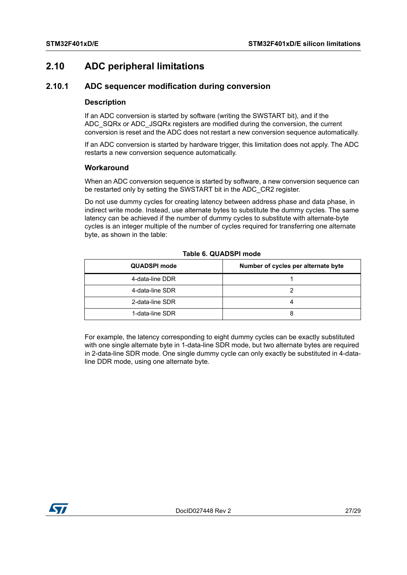# <span id="page-26-0"></span>**2.10 ADC peripheral limitations**

# <span id="page-26-1"></span>**2.10.1 ADC sequencer modification during conversion**

#### **Description**

If an ADC conversion is started by software (writing the SWSTART bit), and if the ADC\_SQRx or ADC\_JSQRx registers are modified during the conversion, the current conversion is reset and the ADC does not restart a new conversion sequence automatically.

If an ADC conversion is started by hardware trigger, this limitation does not apply. The ADC restarts a new conversion sequence automatically.

#### **Workaround**

When an ADC conversion sequence is started by software, a new conversion sequence can be restarted only by setting the SWSTART bit in the ADC\_CR2 register.

Do not use dummy cycles for creating latency between address phase and data phase, in indirect write mode. Instead, use alternate bytes to substitute the dummy cycles. The same latency can be achieved if the number of dummy cycles to substitute with alternate-byte cycles is an integer multiple of the number of cycles required for transferring one alternate byte, as shown in the table:

<span id="page-26-2"></span>

| <b>QUADSPI mode</b> | Number of cycles per alternate byte |
|---------------------|-------------------------------------|
| 4-data-line DDR     |                                     |
| 4-data-line SDR     |                                     |
| 2-data-line SDR     |                                     |
| 1-data-line SDR     |                                     |

#### **Table 6. QUADSPI mode**

For example, the latency corresponding to eight dummy cycles can be exactly substituted with one single alternate byte in 1-data-line SDR mode, but two alternate bytes are required in 2-data-line SDR mode. One single dummy cycle can only exactly be substituted in 4-dataline DDR mode, using one alternate byte.

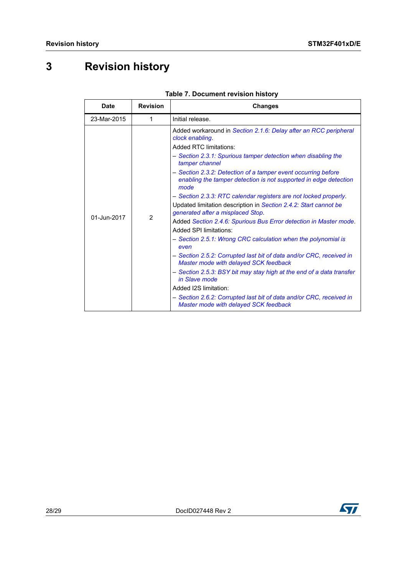# <span id="page-27-0"></span>**3 Revision history**

<span id="page-27-1"></span>

| <b>Date</b> | <b>Revision</b> | <b>Changes</b>                                                                                                                                                                                                                                                                                                                                                                                                                                                                                                                                                                                                                                                                                                                                                                                                                                                                                                                                                                                                                                                     |
|-------------|-----------------|--------------------------------------------------------------------------------------------------------------------------------------------------------------------------------------------------------------------------------------------------------------------------------------------------------------------------------------------------------------------------------------------------------------------------------------------------------------------------------------------------------------------------------------------------------------------------------------------------------------------------------------------------------------------------------------------------------------------------------------------------------------------------------------------------------------------------------------------------------------------------------------------------------------------------------------------------------------------------------------------------------------------------------------------------------------------|
| 23-Mar-2015 | 1               | Initial release.                                                                                                                                                                                                                                                                                                                                                                                                                                                                                                                                                                                                                                                                                                                                                                                                                                                                                                                                                                                                                                                   |
| 01-Jun-2017 | $\overline{2}$  | Added workaround in Section 2.1.6: Delay after an RCC peripheral<br>clock enabling.<br><b>Added RTC limitations:</b><br>- Section 2.3.1: Spurious tamper detection when disabling the<br>tamper channel<br>- Section 2.3.2: Detection of a tamper event occurring before<br>enabling the tamper detection is not supported in edge detection<br>mode<br>- Section 2.3.3: RTC calendar registers are not locked properly.<br>Updated limitation description in Section 2.4.2: Start cannot be<br>generated after a misplaced Stop.<br>Added Section 2.4.6: Spurious Bus Error detection in Master mode.<br><b>Added SPI limitations:</b><br>- Section 2.5.1: Wrong CRC calculation when the polynomial is<br>even<br>- Section 2.5.2: Corrupted last bit of data and/or CRC, received in<br>Master mode with delayed SCK feedback<br>- Section 2.5.3: BSY bit may stay high at the end of a data transfer<br>in Slave mode<br>Added I2S limitation:<br>- Section 2.6.2: Corrupted last bit of data and/or CRC, received in<br>Master mode with delayed SCK feedback |

#### **Table 7. Document revision history**